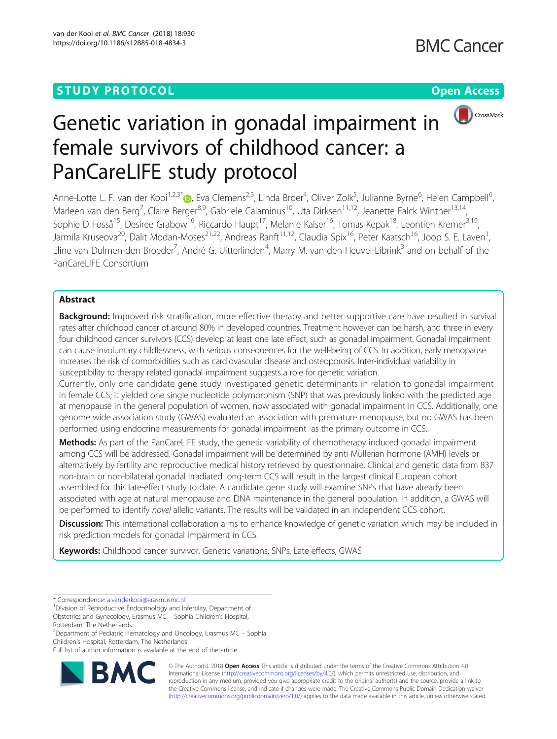# **STUDY PROTOCOL CONSUMING THE RESERVE ACCESS**



# Genetic variation in gonadal impairment in female survivors of childhood cancer: a PanCareLIFE study protocol

Anne-Lotte L. F. van der Kooi<sup>1[,](http://orcid.org/0000-0003-0497-3814)2,3\*</sup>®, Eva Clemens<sup>2,3</sup>, Linda Broer<sup>4</sup>, Oliver Zolk<sup>5</sup>, Julianne Byrne<sup>6</sup>, Helen Campbell<sup>6</sup> , Marleen van den Berg<sup>7</sup>, Claire Berger<sup>8,9</sup>, Gabriele Calaminus<sup>10</sup>, Uta Dirksen<sup>11,12</sup>, Jeanette Falck Winther<sup>13,14</sup>, Sophie D Fosså<sup>15</sup>, Desiree Grabow<sup>16</sup>, Riccardo Haupt<sup>17</sup>, Melanie Kaiser<sup>16</sup>, Tomas Kepak<sup>18</sup>, Leontien Kremer<sup>3,19</sup>, Jarmila Kruseova<sup>20</sup>, Dalit Modan-Moses<sup>21,22</sup>, Andreas Ranft<sup>11,12</sup>, Claudia Spix<sup>16</sup>, Peter Kaatsch<sup>16</sup>, Joop S. E. Laven<sup>1</sup>, , Eline van Dulmen-den Broeder<sup>7</sup>, André G. Uitterlinden<sup>4</sup>, Marry M. van den Heuvel-Eibrink<sup>3</sup> and on behalf of the PanCareLIFE Consortium

# Abstract

Background: Improved risk stratification, more effective therapy and better supportive care have resulted in survival rates after childhood cancer of around 80% in developed countries. Treatment however can be harsh, and three in every four childhood cancer survivors (CCS) develop at least one late effect, such as gonadal impairment. Gonadal impairment can cause involuntary childlessness, with serious consequences for the well-being of CCS. In addition, early menopause increases the risk of comorbidities such as cardiovascular disease and osteoporosis. Inter-individual variability in susceptibility to therapy related gonadal impairment suggests a role for genetic variation.

Currently, only one candidate gene study investigated genetic determinants in relation to gonadal impairment in female CCS; it yielded one single nucleotide polymorphism (SNP) that was previously linked with the predicted age at menopause in the general population of women, now associated with gonadal impairment in CCS. Additionally, one genome wide association study (GWAS) evaluated an association with premature menopause, but no GWAS has been performed using endocrine measurements for gonadal impairment as the primary outcome in CCS.

Methods: As part of the PanCareLIFE study, the genetic variability of chemotherapy induced gonadal impairment among CCS will be addressed. Gonadal impairment will be determined by anti-Müllerian hormone (AMH) levels or alternatively by fertility and reproductive medical history retrieved by questionnaire. Clinical and genetic data from 837 non-brain or non-bilateral gonadal irradiated long-term CCS will result in the largest clinical European cohort assembled for this late-effect study to date. A candidate gene study will examine SNPs that have already been associated with age at natural menopause and DNA maintenance in the general population. In addition, a GWAS will be performed to identify novel allelic variants. The results will be validated in an independent CCS cohort.

Discussion: This international collaboration aims to enhance knowledge of genetic variation which may be included in risk prediction models for gonadal impairment in CCS.

Keywords: Childhood cancer survivor, Genetic variations, SNPs, Late effects, GWAS

<sup>2</sup>Department of Pediatric Hematology and Oncology, Erasmus MC - Sophia Children's Hospital, Rotterdam, The Netherlands

Full list of author information is available at the end of the article



© The Author(s). 2018 Open Access This article is distributed under the terms of the Creative Commons Attribution 4.0 International License [\(http://creativecommons.org/licenses/by/4.0/](http://creativecommons.org/licenses/by/4.0/)), which permits unrestricted use, distribution, and reproduction in any medium, provided you give appropriate credit to the original author(s) and the source, provide a link to the Creative Commons license, and indicate if changes were made. The Creative Commons Public Domain Dedication waiver [\(http://creativecommons.org/publicdomain/zero/1.0/](http://creativecommons.org/publicdomain/zero/1.0/)) applies to the data made available in this article, unless otherwise stated.

<sup>\*</sup> Correspondence: [a.vanderkooi@erasmusmc.nl](mailto:a.vanderkooi@erasmusmc.nl) <sup>1</sup>

<sup>&</sup>lt;sup>1</sup> Division of Reproductive Endocrinology and Infertility, Department of

Obstetrics and Gynecology, Erasmus MC – Sophia Children's Hospital, Rotterdam, The Netherlands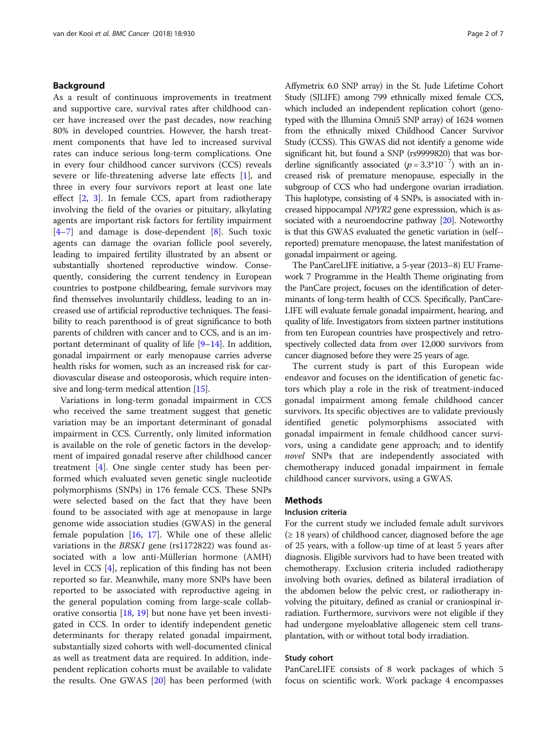# Background

As a result of continuous improvements in treatment and supportive care, survival rates after childhood cancer have increased over the past decades, now reaching 80% in developed countries. However, the harsh treatment components that have led to increased survival rates can induce serious long-term complications. One in every four childhood cancer survivors (CCS) reveals severe or life-threatening adverse late effects [[1\]](#page-5-0), and three in every four survivors report at least one late effect [\[2](#page-5-0), [3\]](#page-5-0). In female CCS, apart from radiotherapy involving the field of the ovaries or pituitary, alkylating agents are important risk factors for fertility impairment  $[4-7]$  $[4-7]$  $[4-7]$  $[4-7]$  and damage is dose-dependent  $[8]$  $[8]$ . Such toxic agents can damage the ovarian follicle pool severely, leading to impaired fertility illustrated by an absent or substantially shortened reproductive window. Consequently, considering the current tendency in European countries to postpone childbearing, female survivors may find themselves involuntarily childless, leading to an increased use of artificial reproductive techniques. The feasibility to reach parenthood is of great significance to both parents of children with cancer and to CCS, and is an important determinant of quality of life [\[9](#page-6-0)–[14\]](#page-6-0). In addition, gonadal impairment or early menopause carries adverse health risks for women, such as an increased risk for cardiovascular disease and osteoporosis, which require intensive and long-term medical attention [[15](#page-6-0)].

Variations in long-term gonadal impairment in CCS who received the same treatment suggest that genetic variation may be an important determinant of gonadal impairment in CCS. Currently, only limited information is available on the role of genetic factors in the development of impaired gonadal reserve after childhood cancer treatment [\[4](#page-5-0)]. One single center study has been performed which evaluated seven genetic single nucleotide polymorphisms (SNPs) in 176 female CCS. These SNPs were selected based on the fact that they have been found to be associated with age at menopause in large genome wide association studies (GWAS) in the general female population [[16,](#page-6-0) [17\]](#page-6-0). While one of these allelic variations in the BRSK1 gene (rs1172822) was found associated with a low anti-Müllerian hormone (AMH) level in CCS [[4\]](#page-5-0), replication of this finding has not been reported so far. Meanwhile, many more SNPs have been reported to be associated with reproductive ageing in the general population coming from large-scale collaborative consortia [\[18](#page-6-0), [19](#page-6-0)] but none have yet been investigated in CCS. In order to identify independent genetic determinants for therapy related gonadal impairment, substantially sized cohorts with well-documented clinical as well as treatment data are required. In addition, independent replication cohorts must be available to validate the results. One GWAS [[20](#page-6-0)] has been performed (with Affymetrix 6.0 SNP array) in the St. Jude Lifetime Cohort Study (SJLIFE) among 799 ethnically mixed female CCS, which included an independent replication cohort (genotyped with the Illumina Omni5 SNP array) of 1624 women from the ethnically mixed Childhood Cancer Survivor Study (CCSS). This GWAS did not identify a genome wide significant hit, but found a SNP (rs9999820) that was borderline significantly associated  $(p = 3.3 * 10^{-7})$  with an increased risk of premature menopause, especially in the subgroup of CCS who had undergone ovarian irradiation. This haplotype, consisting of 4 SNPs, is associated with increased hippocampal NPYR2 gene expresssion, which is as-sociated with a neuroendocrine pathway [\[20\]](#page-6-0). Noteworthy is that this GWAS evaluated the genetic variation in (self- reported) premature menopause, the latest manifestation of gonadal impairment or ageing.

The PanCareLIFE initiative, a 5-year (2013–8) EU Framework 7 Programme in the Health Theme originating from the PanCare project, focuses on the identification of determinants of long-term health of CCS. Specifically, PanCare-LIFE will evaluate female gonadal impairment, hearing, and quality of life. Investigators from sixteen partner institutions from ten European countries have prospectively and retrospectively collected data from over 12,000 survivors from cancer diagnosed before they were 25 years of age.

The current study is part of this European wide endeavor and focuses on the identification of genetic factors which play a role in the risk of treatment-induced gonadal impairment among female childhood cancer survivors. Its specific objectives are to validate previously identified genetic polymorphisms associated with gonadal impairment in female childhood cancer survivors, using a candidate gene approach; and to identify novel SNPs that are independently associated with chemotherapy induced gonadal impairment in female childhood cancer survivors, using a GWAS.

# **Methods**

# Inclusion criteria

For the current study we included female adult survivors  $(≥ 18 \text{ years})$  of childhood cancer, diagnosed before the age of 25 years, with a follow-up time of at least 5 years after diagnosis. Eligible survivors had to have been treated with chemotherapy. Exclusion criteria included radiotherapy involving both ovaries, defined as bilateral irradiation of the abdomen below the pelvic crest, or radiotherapy involving the pituitary, defined as cranial or craniospinal irradiation. Furthermore, survivors were not eligible if they had undergone myeloablative allogeneic stem cell transplantation, with or without total body irradiation.

# Study cohort

PanCareLIFE consists of 8 work packages of which 5 focus on scientific work. Work package 4 encompasses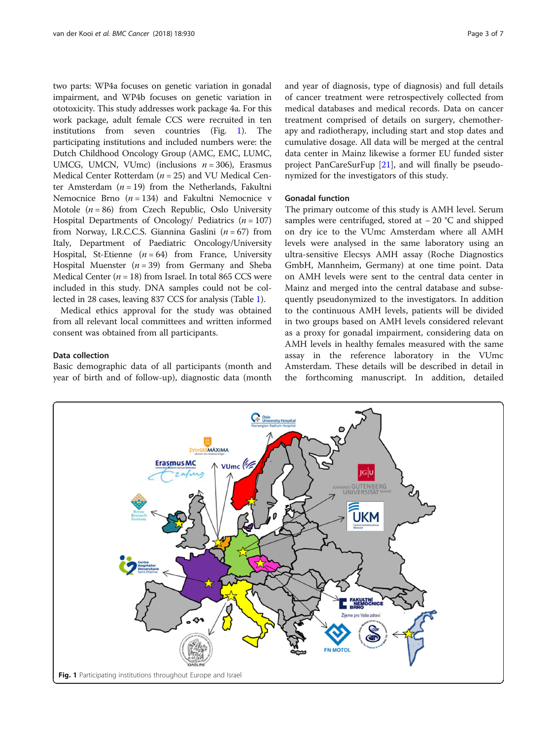two parts: WP4a focuses on genetic variation in gonadal impairment, and WP4b focuses on genetic variation in ototoxicity. This study addresses work package 4a. For this work package, adult female CCS were recruited in ten institutions from seven countries (Fig. 1). The participating institutions and included numbers were: the Dutch Childhood Oncology Group (AMC, EMC, LUMC, UMCG, UMCN, VUmc) (inclusions  $n = 306$ ), Erasmus Medical Center Rotterdam ( $n = 25$ ) and VU Medical Center Amsterdam ( $n = 19$ ) from the Netherlands, Fakultni Nemocnice Brno  $(n = 134)$  and Fakultni Nemocnice v Motole  $(n = 86)$  from Czech Republic, Oslo University Hospital Departments of Oncology/ Pediatrics  $(n = 107)$ from Norway, I.R.C.C.S. Giannina Gaslini  $(n = 67)$  from Italy, Department of Paediatric Oncology/University Hospital, St-Etienne ( $n = 64$ ) from France, University Hospital Muenster  $(n = 39)$  from Germany and Sheba Medical Center ( $n = 18$ ) from Israel. In total 865 CCS were included in this study. DNA samples could not be collected in 28 cases, leaving 837 CCS for analysis (Table [1\)](#page-3-0).

Medical ethics approval for the study was obtained from all relevant local committees and written informed consent was obtained from all participants.

## Data collection

Basic demographic data of all participants (month and year of birth and of follow-up), diagnostic data (month and year of diagnosis, type of diagnosis) and full details of cancer treatment were retrospectively collected from medical databases and medical records. Data on cancer treatment comprised of details on surgery, chemotherapy and radiotherapy, including start and stop dates and cumulative dosage. All data will be merged at the central data center in Mainz likewise a former EU funded sister project PanCareSurFup [\[21\]](#page-6-0), and will finally be pseudonymized for the investigators of this study.

# Gonadal function

The primary outcome of this study is AMH level. Serum samples were centrifuged, stored at − 20 °C and shipped on dry ice to the VUmc Amsterdam where all AMH levels were analysed in the same laboratory using an ultra-sensitive Elecsys AMH assay (Roche Diagnostics GmbH, Mannheim, Germany) at one time point. Data on AMH levels were sent to the central data center in Mainz and merged into the central database and subsequently pseudonymized to the investigators. In addition to the continuous AMH levels, patients will be divided in two groups based on AMH levels considered relevant as a proxy for gonadal impairment, considering data on AMH levels in healthy females measured with the same assay in the reference laboratory in the VUmc Amsterdam. These details will be described in detail in the forthcoming manuscript. In addition, detailed

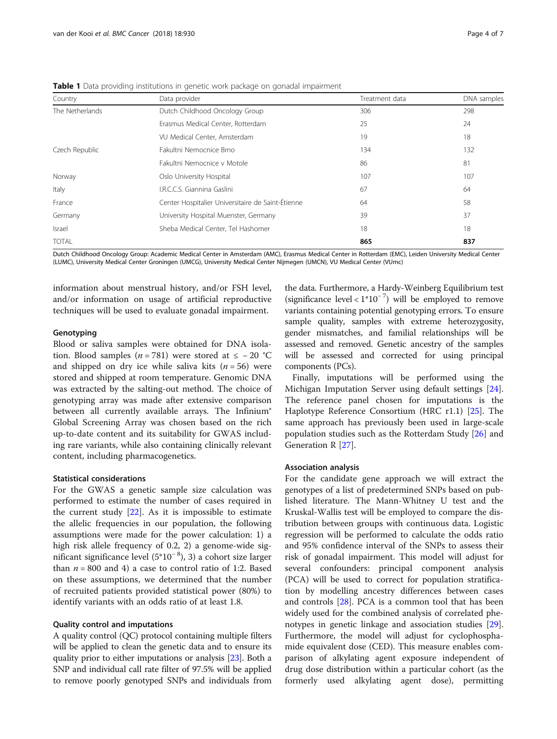| Country         | Data provider                                     | Treatment data | DNA samples |
|-----------------|---------------------------------------------------|----------------|-------------|
| The Netherlands | Dutch Childhood Oncology Group                    | 306            | 298         |
|                 | Erasmus Medical Center, Rotterdam                 | 25             | 24          |
|                 | VU Medical Center, Amsterdam                      | 19             | 18          |
| Czech Republic  | Fakultni Nemocnice Brno                           | 134            | 132         |
|                 | Fakultni Nemocnice v Motole                       | 86             | 81          |
| Norway          | Oslo University Hospital                          | 107            | 107         |
| Italy           | LR.C.C.S. Giannina Gaslini                        | 67             | 64          |
| France          | Center Hospitalier Universitaire de Saint-Étienne | 64             | 58          |
| Germany         | University Hospital Muenster, Germany             | 39             | 37          |
| Israel          | Sheba Medical Center, Tel Hashomer                | 18             | 18          |
| <b>TOTAL</b>    |                                                   | 865            | 837         |

<span id="page-3-0"></span>Table 1 Data providing institutions in genetic work package on gonadal impairment

Dutch Childhood Oncology Group: Academic Medical Center in Amsterdam (AMC), Erasmus Medical Center in Rotterdam (EMC), Leiden University Medical Center (LUMC), University Medical Center Groningen (UMCG), University Medical Center Nijmegen (UMCN), VU Medical Center (VUmc)

information about menstrual history, and/or FSH level, and/or information on usage of artificial reproductive techniques will be used to evaluate gonadal impairment.

# Genotyping

Blood or saliva samples were obtained for DNA isolation. Blood samples (*n* = 781) were stored at ≤ - 20 °C and shipped on dry ice while saliva kits  $(n = 56)$  were stored and shipped at room temperature. Genomic DNA was extracted by the salting-out method. The choice of genotyping array was made after extensive comparison between all currently available arrays. The Infinium® Global Screening Array was chosen based on the rich up-to-date content and its suitability for GWAS including rare variants, while also containing clinically relevant content, including pharmacogenetics.

# Statistical considerations

For the GWAS a genetic sample size calculation was performed to estimate the number of cases required in the current study  $[22]$  $[22]$ . As it is impossible to estimate the allelic frequencies in our population, the following assumptions were made for the power calculation: 1) a high risk allele frequency of 0.2, 2) a genome-wide significant significance level (5\*10<sup>−</sup> <sup>8</sup> ), 3) a cohort size larger than  $n = 800$  and 4) a case to control ratio of 1:2. Based on these assumptions, we determined that the number of recruited patients provided statistical power (80%) to identify variants with an odds ratio of at least 1.8.

# Quality control and imputations

A quality control (QC) protocol containing multiple filters will be applied to clean the genetic data and to ensure its quality prior to either imputations or analysis [\[23\]](#page-6-0). Both a SNP and individual call rate filter of 97.5% will be applied to remove poorly genotyped SNPs and individuals from the data. Furthermore, a Hardy-Weinberg Equilibrium test (significance level <  $1*10^{-7}$ ) will be employed to remove variants containing potential genotyping errors. To ensure sample quality, samples with extreme heterozygosity, gender mismatches, and familial relationships will be assessed and removed. Genetic ancestry of the samples will be assessed and corrected for using principal components (PCs).

Finally, imputations will be performed using the Michigan Imputation Server using default settings [\[24](#page-6-0)]. The reference panel chosen for imputations is the Haplotype Reference Consortium (HRC r1.1) [[25\]](#page-6-0). The same approach has previously been used in large-scale population studies such as the Rotterdam Study [[26](#page-6-0)] and Generation R [[27](#page-6-0)].

# Association analysis

For the candidate gene approach we will extract the genotypes of a list of predetermined SNPs based on published literature. The Mann-Whitney U test and the Kruskal-Wallis test will be employed to compare the distribution between groups with continuous data. Logistic regression will be performed to calculate the odds ratio and 95% confidence interval of the SNPs to assess their risk of gonadal impairment. This model will adjust for several confounders: principal component analysis (PCA) will be used to correct for population stratification by modelling ancestry differences between cases and controls [\[28](#page-6-0)]. PCA is a common tool that has been widely used for the combined analysis of correlated phenotypes in genetic linkage and association studies [\[29](#page-6-0)]. Furthermore, the model will adjust for cyclophosphamide equivalent dose (CED). This measure enables comparison of alkylating agent exposure independent of drug dose distribution within a particular cohort (as the formerly used alkylating agent dose), permitting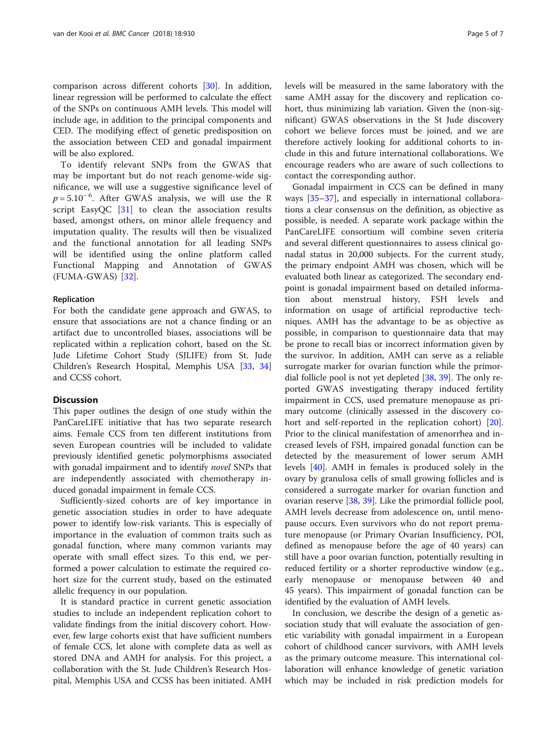comparison across different cohorts [\[30\]](#page-6-0). In addition, linear regression will be performed to calculate the effect of the SNPs on continuous AMH levels. This model will include age, in addition to the principal components and CED. The modifying effect of genetic predisposition on the association between CED and gonadal impairment will be also explored.

To identify relevant SNPs from the GWAS that may be important but do not reach genome-wide significance, we will use a suggestive significance level of  $p = 5.10^{-6}$ . After GWAS analysis, we will use the R script EasyQC [\[31](#page-6-0)] to clean the association results based, amongst others, on minor allele frequency and imputation quality. The results will then be visualized and the functional annotation for all leading SNPs will be identified using the online platform called Functional Mapping and Annotation of GWAS (FUMA-GWAS) [[32\]](#page-6-0).

# Replication

For both the candidate gene approach and GWAS, to ensure that associations are not a chance finding or an artifact due to uncontrolled biases, associations will be replicated within a replication cohort, based on the St. Jude Lifetime Cohort Study (SJLIFE) from St. Jude Children's Research Hospital, Memphis USA [[33,](#page-6-0) [34](#page-6-0)] and CCSS cohort.

# Discussion

This paper outlines the design of one study within the PanCareLIFE initiative that has two separate research aims. Female CCS from ten different institutions from seven European countries will be included to validate previously identified genetic polymorphisms associated with gonadal impairment and to identify novel SNPs that are independently associated with chemotherapy induced gonadal impairment in female CCS.

Sufficiently-sized cohorts are of key importance in genetic association studies in order to have adequate power to identify low-risk variants. This is especially of importance in the evaluation of common traits such as gonadal function, where many common variants may operate with small effect sizes. To this end, we performed a power calculation to estimate the required cohort size for the current study, based on the estimated allelic frequency in our population.

It is standard practice in current genetic association studies to include an independent replication cohort to validate findings from the initial discovery cohort. However, few large cohorts exist that have sufficient numbers of female CCS, let alone with complete data as well as stored DNA and AMH for analysis. For this project, a collaboration with the St. Jude Children's Research Hospital, Memphis USA and CCSS has been initiated. AMH levels will be measured in the same laboratory with the same AMH assay for the discovery and replication cohort, thus minimizing lab variation. Given the (non-significant) GWAS observations in the St Jude discovery cohort we believe forces must be joined, and we are therefore actively looking for additional cohorts to include in this and future international collaborations. We encourage readers who are aware of such collections to contact the corresponding author.

Gonadal impairment in CCS can be defined in many ways [[35](#page-6-0)–[37](#page-6-0)], and especially in international collaborations a clear consensus on the definition, as objective as possible, is needed. A separate work package within the PanCareLIFE consortium will combine seven criteria and several different questionnaires to assess clinical gonadal status in 20,000 subjects. For the current study, the primary endpoint AMH was chosen, which will be evaluated both linear as categorized. The secondary endpoint is gonadal impairment based on detailed information about menstrual history, FSH levels and information on usage of artificial reproductive techniques. AMH has the advantage to be as objective as possible, in comparison to questionnaire data that may be prone to recall bias or incorrect information given by the survivor. In addition, AMH can serve as a reliable surrogate marker for ovarian function while the primordial follicle pool is not yet depleted [[38](#page-6-0), [39](#page-6-0)]. The only reported GWAS investigating therapy induced fertility impairment in CCS, used premature menopause as primary outcome (clinically assessed in the discovery cohort and self-reported in the replication cohort) [\[20](#page-6-0)]. Prior to the clinical manifestation of amenorrhea and increased levels of FSH, impaired gonadal function can be detected by the measurement of lower serum AMH levels [[40\]](#page-6-0). AMH in females is produced solely in the ovary by granulosa cells of small growing follicles and is considered a surrogate marker for ovarian function and ovarian reserve [\[38,](#page-6-0) [39\]](#page-6-0). Like the primordial follicle pool, AMH levels decrease from adolescence on, until menopause occurs. Even survivors who do not report premature menopause (or Primary Ovarian Insufficiency, POI, defined as menopause before the age of 40 years) can still have a poor ovarian function, potentially resulting in reduced fertility or a shorter reproductive window (e.g., early menopause or menopause between 40 and 45 years). This impairment of gonadal function can be identified by the evaluation of AMH levels.

In conclusion, we describe the design of a genetic association study that will evaluate the association of genetic variability with gonadal impairment in a European cohort of childhood cancer survivors, with AMH levels as the primary outcome measure. This international collaboration will enhance knowledge of genetic variation which may be included in risk prediction models for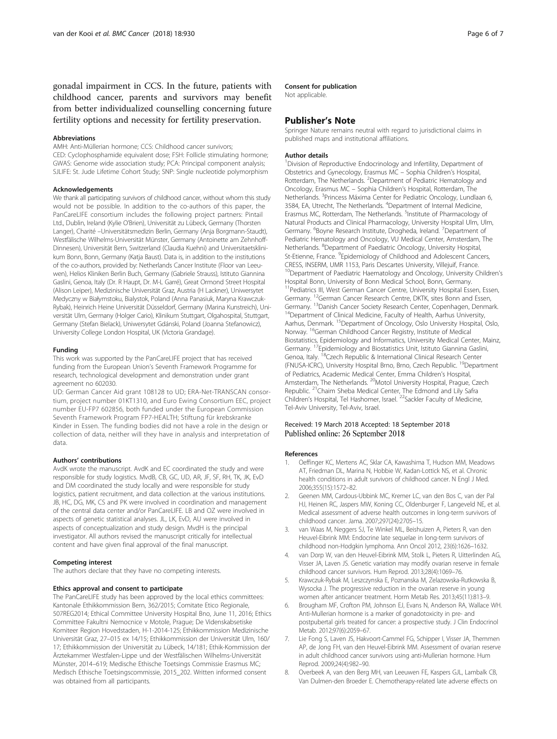<span id="page-5-0"></span>gonadal impairment in CCS. In the future, patients with childhood cancer, parents and survivors may benefit from better individualized counselling concerning future fertility options and necessity for fertility preservation.

#### Abbreviations

AMH: Anti-Müllerian hormone; CCS: Childhood cancer survivors; CED: Cyclophosphamide equivalent dose; FSH: Follicle stimulating hormone; GWAS: Genome wide association study; PCA: Principal component analysis; SJLIFE: St. Jude Lifetime Cohort Study; SNP: Single nucleotide polymorphism

#### Acknowledgements

We thank all participating survivors of childhood cancer, without whom this study would not be possible. In addition to the co-authors of this paper, the PanCareLIFE consortium includes the following project partners: Pintail Ltd., Dublin, Ireland (Kylie O'Brien), Universität zu Lübeck, Germany (Thorsten Langer), Charité –Universitätsmedizin Berlin, Germany (Anja Borgmann-Staudt), Westfälische Wilhelms-Universität Münster, Germany (Antoinette am Zehnhoff-Dinnesen), Universität Bern, Switzerland (Claudia Kuehni) and Universitaetsklinikum Bonn, Bonn, Germany (Katja Baust). Data is, in addition to the institutions of the co-authors, provided by: Netherlands Cancer Institute (Floor van Leeuwen), Helios Kliniken Berlin Buch, Germany (Gabriele Strauss), Istituto Giannina Gaslini, Genoa, Italy (Dr. R Haupt, Dr. M-L Garré), Great Ormond Street Hospital (Alison Leiper), Medizinische Universität Graz, Austria (H Lackner), Uniwersytet Medyczny w Białymstoku, Bialystok, Poland (Anna Panasiuk, Maryna Krawczuk-Rybak), Heinrich Heine Universität Düsseldorf, Germany (Marina Kunstreich), Universität Ulm, Germany (Holger Cario), Klinikum Stuttgart, Olgahospital, Stuttgart, Germany (Stefan Bielack), Uniwersytet Gdánski, Poland (Joanna Stefanowicz), University College London Hospital, UK (Victoria Grandage).

### Funding

This work was supported by the PanCareLIFE project that has received funding from the European Union's Seventh Framework Programme for research, technological development and demonstration under grant agreement no 602030.

UD: German Cancer Aid grant 108128 to UD; ERA-Net-TRANSCAN consortium, project number 01KT1310, and Euro Ewing Consortium EEC, project number EU-FP7 602856, both funded under the European Commission Seventh Framework Program FP7-HEALTH; Stiftung für krebskranke Kinder in Essen. The funding bodies did not have a role in the design or collection of data, neither will they have in analysis and interpretation of data.

#### Authors' contributions

AvdK wrote the manuscript. AvdK and EC coordinated the study and were responsible for study logistics. MvdB, CB, GC, UD, AR, JF, SF, RH, TK, JK, EvD and DM coordinated the study locally and were responsible for study logistics, patient recruitment, and data collection at the various institutions. JB, HC, DG, MK, CS and PK were involved in coordination and management of the central data center and/or PanCareLIFE. LB and OZ were involved in aspects of genetic statistical analyses. JL, LK, EvD, AU were involved in aspects of conceptualization and study design. MvdH is the principal investigator. All authors revised the manuscript critically for intellectual content and have given final approval of the final manuscript.

#### Competing interest

The authors declare that they have no competing interests.

#### Ethics approval and consent to participate

The PanCareLIFE study has been approved by the local ethics committees: Kantonale Ethikkommission Bern, 362/2015; Comitate Etico Regionale, 507REG2014; Ethical Committee University Hospital Bno, June 11, 2016; Ethics Committee Fakultni Nemocnice v Motole, Prague; De Videnskabsetiske Komiteer Region Hovedstaden, H-1-2014-125; Ethikkommission Medizinische Universität Graz, 27–015 ex 14/15; Ethikkommission der Universität Ulm, 160/ 17; Ethikkommission der Universität zu Lübeck, 14/181; Ethik-Kommission der Ärztekammer Westfalen-Lippe und der Westfälischen Wilhelms-Universität Münster, 2014–619; Medische Ethische Toetsings Commissie Erasmus MC; Medisch Ethische Toetsingscommissie, 2015\_202. Written informed consent was obtained from all participants.

#### Consent for publication

Not applicable.

# Publisher's Note

Springer Nature remains neutral with regard to jurisdictional claims in published maps and institutional affiliations.

#### Author details

<sup>1</sup> Division of Reproductive Endocrinology and Infertility, Department of Obstetrics and Gynecology, Erasmus MC – Sophia Children's Hospital, Rotterdam, The Netherlands. <sup>2</sup>Department of Pediatric Hematology and Oncology, Erasmus MC – Sophia Children's Hospital, Rotterdam, The Netherlands. <sup>3</sup>Princess Máxima Center for Pediatric Oncology, Lundlaan 6 3584, EA, Utrecht, The Netherlands. <sup>4</sup>Department of Internal Medicine, Erasmus MC, Rotterdam, The Netherlands. <sup>5</sup>Institute of Pharmacology of Natural Products and Clinical Pharmacology, University Hospital Ulm, Ulm, Germany. <sup>6</sup>Boyne Research Institute, Drogheda, Ireland. <sup>7</sup>Department of Pediatric Hematology and Oncology, VU Medical Center, Amsterdam, The Netherlands. <sup>8</sup>Department of Paediatric Oncology, University Hospital, St-Etienne, France. <sup>9</sup>Epidemiology of Childhood and Adolescent Cancers, CRESS, INSERM, UMR 1153, Paris Descartes University, Villejuif, France. <sup>10</sup>Department of Paediatric Haematology and Oncology, University Children's Hospital Bonn, University of Bonn Medical School, Bonn, Germany. <sup>11</sup> Pediatrics III, West German Cancer Centre, University Hospital Essen, Essen, Germany. 12German Cancer Research Centre, DKTK, sites Bonn and Essen, Germany. <sup>13</sup>Danish Cancer Society Research Center, Copenhagen, Denmark.<br><sup>14</sup>Department of Clinical Medicine, Faculty of Health, Aarhus University, Aarhus, Denmark. 15Department of Oncology, Oslo University Hospital, Oslo, Norway. <sup>16</sup>German Childhood Cancer Registry, Institute of Medical Biostatistics, Epidemiology and Informatics, University Medical Center, Mainz, Germany. 17Epidemiology and Biostatistics Unit, Istituto Giannina Gaslini, Genoa, Italy. <sup>18</sup>Czech Republic & International Clinical Research Center (FNUSA-ICRC), University Hospital Brno, Brno, Czech Republic. <sup>19</sup>Department of Pediatrics, Academic Medical Center, Emma Children's Hospital, Amsterdam, The Netherlands. 20Motol University Hospital, Prague, Czech Republic. <sup>21</sup>Chaim Sheba Medical Center, The Edmond and Lily Safra Children's Hospital, Tel Hashomer, Israel. 22Sackler Faculty of Medicine, Tel-Aviv University, Tel-Aviv, Israel.

# Received: 19 March 2018 Accepted: 18 September 2018 Published online: 26 September 2018

#### References

- 1. Oeffinger KC, Mertens AC, Sklar CA, Kawashima T, Hudson MM, Meadows AT, Friedman DL, Marina N, Hobbie W, Kadan-Lottick NS, et al. Chronic health conditions in adult survivors of childhood cancer. N Engl J Med. 2006;355(15):1572–82.
- 2. Geenen MM, Cardous-Ubbink MC, Kremer LC, van den Bos C, van der Pal HJ, Heinen RC, Jaspers MW, Koning CC, Oldenburger F, Langeveld NE, et al. Medical assessment of adverse health outcomes in long-term survivors of childhood cancer. Jama. 2007;297(24):2705–15.
- van Waas M, Neggers SJ, Te Winkel ML, Beishuizen A, Pieters R, van den Heuvel-Eibrink MM: Endocrine late sequelae in long-term survivors of childhood non-Hodgkin lymphoma. Ann Oncol 2012, 23(6):1626–1632.
- 4. van Dorp W, van den Heuvel-Eibrink MM, Stolk L, Pieters R, Uitterlinden AG, Visser JA, Laven JS. Genetic variation may modify ovarian reserve in female childhood cancer survivors. Hum Reprod. 2013;28(4):1069–76.
- 5. Krawczuk-Rybak M, Leszczynska E, Poznanska M, Zelazowska-Rutkowska B, Wysocka J. The progressive reduction in the ovarian reserve in young women after anticancer treatment. Horm Metab Res. 2013;45(11):813–9.
- Brougham MF, Crofton PM, Johnson EJ, Evans N, Anderson RA, Wallace WH. Anti-Mullerian hormone is a marker of gonadotoxicity in pre- and postpubertal girls treated for cancer: a prospective study. J Clin Endocrinol Metab. 2012;97(6):2059–67.
- 7. Lie Fong S, Laven JS, Hakvoort-Cammel FG, Schipper I, Visser JA, Themmen AP, de Jong FH, van den Heuvel-Eibrink MM. Assessment of ovarian reserve in adult childhood cancer survivors using anti-Mullerian hormone. Hum Reprod. 2009;24(4):982–90.
- 8. Overbeek A, van den Berg MH, van Leeuwen FE, Kaspers GJL, Lambalk CB, Van Dulmen-den Broeder E. Chemotherapy-related late adverse effects on